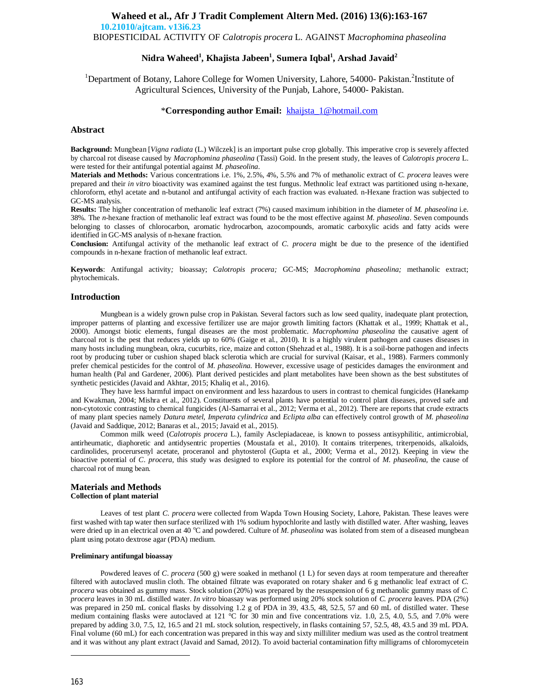# **Waheed et al., Afr J Tradit Complement Altern Med. (2016) 13(6):163-167 10.21010/ajtcam. v13i6.23**

BIOPESTICIDAL ACTIVITY OF *Calotropis procera* L. AGAINST *Macrophomina phaseolina*

# **Nidra Waheed<sup>1</sup> , Khajista Jabeen<sup>1</sup> , Sumera Iqbal<sup>1</sup> , Arshad Javaid<sup>2</sup>**

<sup>1</sup>Department of Botany, Lahore College for Women University, Lahore, 54000- Pakistan.<sup>2</sup>Institute of Agricultural Sciences, University of the Punjab, Lahore, 54000- Pakistan.

## \***Corresponding author Email:** khaijsta\_1@hotmail.com

## **Abstract**

**Background:** Mungbean [*Vigna radiata* (L.) Wilczek] is an important pulse crop globally. This imperative crop is severely affected by charcoal rot disease caused by *Macrophomina phaseolina* (Tassi) Goid. In the present study, the leaves of *Calotropis procera* L. were tested for their antifungal potential against *M. phaseolina*.

**Materials and Methods:** Various concentrations i.e. 1%, 2.5%, 4%, 5.5% and 7% of methanolic extract of *C. procera* leaves were prepared and their *in vitro* bioactivity was examined against the test fungus. Methnolic leaf extract was partitioned using n-hexane, chloroform, ethyl acetate and n-butanol and antifungal activity of each fraction was evaluated. n-Hexane fraction was subjected to GC-MS analysis.

**Results:** The higher concentration of methanolic leaf extract (7%) caused maximum inhibition in the diameter of *M. phaseolina* i.e. 38%*.* The *n*-hexane fraction of methanolic leaf extract was found to be the most effective against *M. phaseolina*. Seven compounds belonging to classes of chlorocarbon, aromatic hydrocarbon, azocompounds, aromatic carboxylic acids and fatty acids were identified in GC-MS analysis of n-hexane fraction.

**Conclusion:** Antifungal activity of the methanolic leaf extract of *C. procera* might be due to the presence of the identified compounds in n-hexane fraction of methanolic leaf extract.

**Keywords**: Antifungal activity*;* bioassay; *Calotropis procera;* GC-MS; *Macrophomina phaseolina;* methanolic extract; phytochemicals.

## **Introduction**

Mungbean is a widely grown pulse crop in Pakistan. Several factors such as low seed quality, inadequate plant protection, improper patterns of planting and excessive fertilizer use are major growth limiting factors (Khattak et al., 1999; Khattak et al., 2000). Amongst biotic elements, fungal diseases are the most problematic. *Macrophomina phaseolina* the causative agent of charcoal rot is the pest that reduces yields up to 60% (Gaige et al., 2010). It is a highly virulent pathogen and causes diseases in many hosts including mungbean, okra, cucurbits, rice, maize and cotton (Shehzad et al., 1988). It is a soil-borne pathogen and infects root by producing tuber or cushion shaped black sclerotia which are crucial for survival (Kaisar, et al., 1988). Farmers commonly prefer chemical pesticides for the control of *M. phaseolina*. However, excessive usage of pesticides damages the environment and human health (Pal and Gardener, 2006). Plant derived pesticides and plant metabolites have been shown as the best substitutes of synthetic pesticides (Javaid and Akhtar, 2015; Khaliq et al., 2016).

They have less harmful impact on environment and less hazardous to users in contrast to chemical fungicides (Hanekamp and Kwakman, 2004; Mishra et al., 2012). Constituents of several plants have potential to control plant diseases, proved safe and non-cytotoxic contrasting to chemical fungicides (Al-Samarrai et al., 2012; Verma et al., 2012). There are reports that crude extracts of many plant species namely *Datura metel, Imperata cylindrica* and *Eclipta alba* can effectively control growth of *M. phaseolina*  (Javaid and Saddique, 2012; Banaras et al., 2015; Javaid et al., 2015).

Common milk weed (*Calotropis procera* L.), family Asclepiadaceae, is known to possess antisyphilitic, antimicrobial, antirheumatic, diaphoretic and antidysentric properties (Moustafa et al., 2010). It contains triterpenes, triterpenoids, alkaloids, cardinolides, procerursenyl acetate, proceranol and phytosterol (Gupta et al., 2000; Verma et al., 2012). Keeping in view the bioactive potential of *C. procera,* this study was designed to explore its potential for the control of *M. phaseolina,* the cause of charcoal rot of mung bean.

## **Materials and Methods Collection of plant material**

Leaves of test plant *C. procera* were collected from Wapda Town Housing Society, Lahore, Pakistan. These leaves were first washed with tap water then surface sterilized with 1% sodium hypochlorite and lastly with distilled water. After washing, leaves were dried up in an electrical oven at 40 °C and powdered. Culture of *M. phaseolina* was isolated from stem of a diseased mungbean plant using potato dextrose agar (PDA) medium.

#### **Preliminary antifungal bioassay**

Powdered leaves of *C. procera* (500 g) were soaked in methanol (1 L) for seven days at room temperature and thereafter filtered with autoclaved muslin cloth. The obtained filtrate was evaporated on rotary shaker and 6 g methanolic leaf extract of *C. procera* was obtained as gummy mass. Stock solution (20%) was prepared by the resuspension of 6 g methanolic gummy mass of *C. procera* leaves in 30 mL distilled water. *In vitro* bioassay was performed using 20% stock solution of *C. procera* leaves. PDA (2%) was prepared in 250 mL conical flasks by dissolving 1.2 g of PDA in 39, 43.5, 48, 52.5, 57 and 60 mL of distilled water. These medium containing flasks were autoclaved at 121 °C for 30 min and five concentrations viz. 1.0, 2.5, 4.0, 5.5, and 7.0% were prepared by adding 3.0, 7.5, 12, 16.5 and 21 mL stock solution, respectively, in flasks containing 57, 52.5, 48, 43.5 and 39 mL PDA. Final volume (60 mL) for each concentration was prepared in this way and sixty milliliter medium was used as the control treatment and it was without any plant extract (Javaid and Samad, 2012). To avoid bacterial contamination fifty milligrams of chloromycetein

-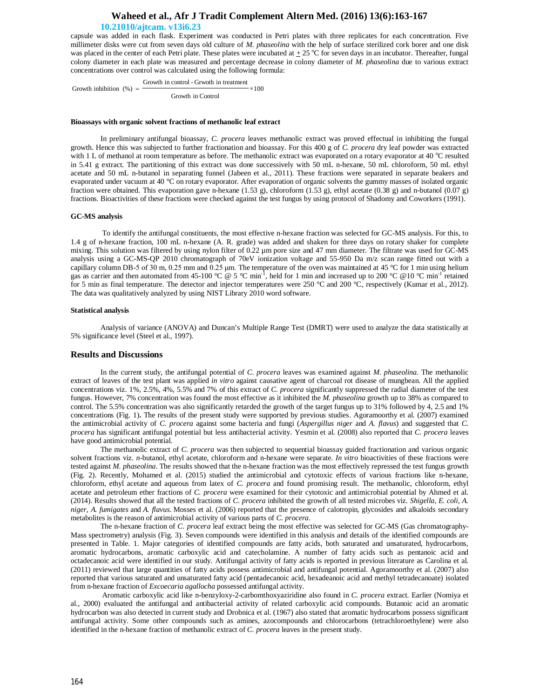# **Waheed et al., Afr J Tradit Complement Altern Med. (2016) 13(6):163-167**

## **10.21010/ajtcam. v13i6.23**

capsule was added in each flask. Experiment was conducted in Petri plates with three replicates for each concentration. Five millimeter disks were cut from seven days old culture of *M. phaseolina* with the help of surface sterilized cork borer and one disk was placed in the center of each Petri plate. These plates were incubated at  $\pm 25$  °C for seven days in an incubator. Thereafter, fungal colony diameter in each plate was measured and percentage decrease in colony diameter of *M. phaseolina* due to various extract concentrations over control was calculated using the following formula:

 $\times$ 100 Growth in Control Growth in control - Grwoth in treatment Growth inhibition  $(\%)$  =

#### **Bioassays with organic solvent fractions of methanolic leaf extract**

In preliminary antifungal bioassay, *C. procera* leaves methanolic extract was proved effectual in inhibiting the fungal growth. Hence this was subjected to further fractionation and bioassay. For this 400 g of *C. procera* dry leaf powder was extracted with 1 L of methanol at room temperature as before. The methanolic extract was evaporated on a rotary evaporator at 40  $^{\circ}$ C resulted in 5.41 g extract. The partitioning of this extract was done successively with 50 mL n-hexane, 50 mL chloroform, 50 mL ethyl acetate and 50 mL n-butanol in separating funnel (Jabeen et al., 2011). These fractions were separated in separate beakers and evaporated under vacuum at 40 °C on rotary evaporator. After evaporation of organic solvents the gummy masses of isolated organic fraction were obtained. This evaporation gave n-hexane (1.53 g), chloroform (1.53 g), ethyl acetate (0.38 g) and n-butanol (0.07 g) fractions. Bioactivities of these fractions were checked against the test fungus by using protocol of Shadomy and Coworkers (1991).

#### **GC-MS analysis**

To identify the antifungal constituents, the most effective n-hexane fraction was selected for GC-MS analysis. For this, to 1.4 g of n-hexane fraction, 100 mL n-hexane (A. R. grade) was added and shaken for three days on rotary shaker for complete mixing. This solution was filtered by using nylon filter of 0.22  $\mu$ m pore size and 47 mm diameter. The filtrate was used for GC-MS analysis using a GC-MS-QP 2010 chromatograph of 70eV ionization voltage and 55-950 Da m/z scan range fitted out with a capillary column DB-5 of 30 m, 0.25 mm and 0.25  $\mu$ m. The temperature of the oven was maintained at 45 °C for 1 min using helium gas as carrier and then automated from 45-100 °C @ 5 °C min<sup>-1</sup>, held for 1 min and increased up to 200 °C @10 °C min<sup>-1</sup> retained for 5 min as final temperature. The detector and injector temperatures were 250 °C and 200 °C, respectively (Kumar et al., 2012). The data was qualitatively analyzed by using NIST Library 2010 word software.

#### **Statistical analysis**

Analysis of variance (ANOVA) and Duncan's Multiple Range Test (DMRT) were used to analyze the data statistically at 5% significance level (Steel et al., 1997).

#### **Results and Discussions**

In the current study, the antifungal potential of *C. procera* leaves was examined against *M. phaseolina.* The methanolic extract of leaves of the test plant was applied *in vitro* against causative agent of charcoal rot disease of mungbean. All the applied concentrations viz. 1%, 2.5%, 4%, 5.5% and 7% of this extract of *C. procera* significantly suppressed the radial diameter of the test fungus. However, 7% concentration was found the most effective as it inhibited the *M. phaseolina* growth up to 38% as compared to control. The 5.5% concentration was also significantly retarded the growth of the target fungus up to 31% followed by 4, 2.5 and 1% concentrations (Fig. 1)**.** The results of the present study were supported by previous studies. Agoramoorthy et al. (2007) examined the antimicrobial activity of *C. procera* against some bacteria and fungi (*Aspergillus niger* and *A. flavus*) and suggested that *C. procera* has significant antifungal potential but less antibacterial activity. Yesmin et al. (2008) also reported that *C. procera* leaves have good antimicrobial potential.

The methanolic extract of *C. procera* was then subjected to sequential bioassay guided fractionation and various organic solvent fractions viz. *n*-butanol, ethyl acetate, chloroform and n-hexane were separate. *In vitro* bioactivities of these fractions were tested against *M. phaseolina*. The results showed that the n-hexane fraction was the most effectively repressed the test fungus growth (Fig. 2). Recently, Mohamed et al. (2015) studied the antimicrobial and cytotoxic effects of various fractions like n-hexane, chloroform, ethyl acetate and aqueous from latex of *C. procera* and found promising result. The methanolic, chloroform, ethyl acetate and petroleum ether fractions of *C. procera* were examined for their cytotoxic and antimicrobial potential by Ahmed et al. (2014). Results showed that all the tested fractions of *C. procera* inhibited the growth of all tested microbes viz. *Shigella, E. coli, A. niger*, *A. fumigates* and *A. flavus*. Mosses et al. (2006) reported that the presence of calotropin, glycosides and alkaloids secondary metabolites is the reason of antimicrobial activity of various parts of *C. procera*.

The n-hexane fraction of *C. procera* leaf extract being the most effective was selected for GC-MS (Gas chromatography-Mass spectrometry) analysis (Fig. 3). Seven compounds were identified in this analysis and details of the identified compounds are presented in Table. 1. Major categories of identified compounds are fatty acids, both saturated and unsaturated, hydrocarbons, aromatic hydrocarbons, aromatic carboxylic acid and catecholamine. A number of fatty acids such as pentanoic acid and octadecanoic acid were identified in our study. Antifungal activity of fatty acids is reported in previous literature as Carolina et al. (2011) reviewed that large quantities of fatty acids possess antimicrobial and antifungal potential. Agoramoorthy et al. (2007) also reported that various saturated and unsaturated fatty acid (pentadecanoic acid, hexadeanoic acid and methyl tetradecanoate) isolated from n-hexane fraction of *Excoecaria agallocha* possessed antifungal activity.

Aromatic carboxylic acid like n-benzyloxy-2-carbomthoxyaziridine also found in *C. procera* extract. Earlier (Nomiya et al., 2000) evaluated the antifungal and antibacterial activity of related carboxylic acid compounds. Butanoic acid an aromatic hydrocarbon was also detected in current study and Drobnica et al. (1967) also stated that aromatic hydrocarbons possess significant antifungal activity. Some other compounds such as amines, azocompounds and chlorocarbons (tetrachloroethylene) were also identified in the n-hexane fraction of methanolic extract of *C. procera* leaves in the present study.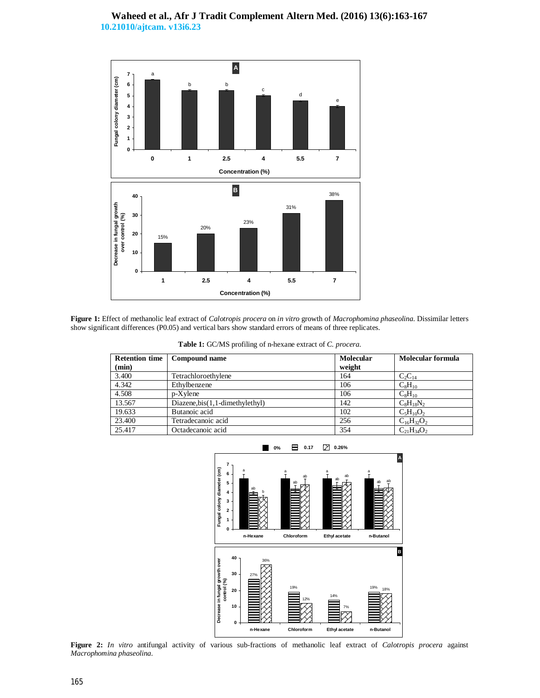# **Waheed et al., Afr J Tradit Complement Altern Med. (2016) 13(6):163-167 10.21010/ajtcam. v13i6.23**



**Figure 1:** Effect of methanolic leaf extract of *Calotropis procera* on *in vitro* growth of *Macrophomina phaseolina*. Dissimilar letters show significant differences (P0.05) and vertical bars show standard errors of means of three replicates.

| <b>Retention time</b> | Compound name                    | <b>Molecular</b> | Molecular formula |
|-----------------------|----------------------------------|------------------|-------------------|
| (min)                 |                                  | weight           |                   |
| 3.400                 | Tetrachloroethylene              | 164              | $C_2C_{14}$       |
| 4.342                 | Ethylbenzene                     | 106              | $C_8H_{10}$       |
| 4.508                 | $p-X$ ylene                      | 106              | $C_8H_{10}$       |
| 13.567                | $Diazene,bis(1,1-dimethylethyl)$ | 142              | $C_8H_{18}N_2$    |
| 19.633                | Butanoic acid                    | 102              | $C_5H_{10}O_2$    |
| 23.400                | Tetradecanoic acid               | 256              | $C_{16}H_{32}O_2$ |
| 25.417                | Octadecanoic acid                | 354              | $C_{21}H_{34}O_2$ |



**Figure 2:** *In vitro* antifungal activity of various sub-fractions of methanolic leaf extract of *Calotropis procera* against *Macrophomina phaseolina*.

# **Table 1:** GC/MS profiling of n-hexane extract of *C. procera*.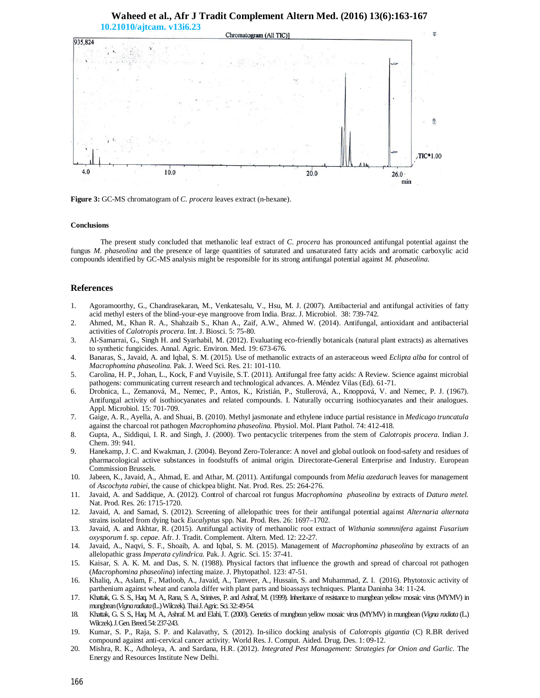

# **Waheed et al., Afr J Tradit Complement Altern Med. (2016) 13(6):163-167**

**Figure 3:** GC-MS chromatogram of *C. procera* leaves extract (n-hexane).

#### **Conclusions**

The present study concluded that methanolic leaf extract of *C. procera* has pronounced antifungal potential against the fungus *M. phaseolina* and the presence of large quantities of saturated and unsaturated fatty acids and aromatic carboxylic acid compounds identified by GC-MS analysis might be responsible for its strong antifungal potential against *M. phaseolina*.

## **References**

- 1. Agoramoorthy, G., Chandrasekaran, M., Venkatesalu, V., Hsu, M. J. (2007). Antibacterial and antifungal activities of fatty acid methyl esters of the blind-your-eye mangroove from India. Braz. J. Microbiol. 38: 739-742.
- 2. Ahmed, M., Khan R. A., Shahzaib S., Khan A., Zaif, A.W., Ahmed W. (2014). Antifungal, antioxidant and antibacterial activities of *Calotropis procera*. Int. J. Biosci. 5: 75-80.
- 3. Al-Samarrai, G., Singh H. and Syarhabil, M. (2012). Evaluating eco-friendly botanicals (natural plant extracts) as alternatives to synthetic fungicides. Annal. Agric. Environ. Med. 19: 673-676.
- 4. Banaras, S., Javaid, A. and Iqbal, S. M. (2015). Use of methanolic extracts of an asteraceous weed *Eclipta alba* for control of *Macrophomina phaseolina.* Pak. J. Weed Sci. Res. 21: 101-110.
- 5. Carolina, H. P., Johan, L., Kock, F and Vuyisile, S.T. (2011). Antifungal free fatty acids: A Review. Science against microbial pathogens: communicating current research and technological advances. A. Méndez Vilas (Ed). 61-71.
- 6. Drobnica, L., Zemanová, M., Nemec, P., Antos, K., Kristián, P., Stullerová, A., Knoppová, V. and Nemec, P. J. (1967). Antifungal activity of isothiocyanates and related compounds. I. Naturally occurring isothiocyanates and their analogues. Appl. Microbiol. 15: 701-709.
- 7. Gaige, A. R., Ayella, A. and Shuai, B. (2010). Methyl jasmonate and ethylene induce partial resistance in *Medicago truncatula*  against the charcoal rot pathogen *Macrophomina phaseolina.* Physiol. Mol. Plant Pathol. 74: 412-418.
- 8. Gupta, A., Siddiqui, I. R. and Singh, J. (2000). Two pentacyclic triterpenes from the stem of *Calotropis procera*. Indian J. Chem. 39: 941.
- 9. Hanekamp, J. C. and Kwakman, J. (2004). Beyond Zero-Tolerance: A novel and global outlook on food-safety and residues of pharmacological active substances in foodstuffs of animal origin. Directorate-General Enterprise and Industry. European Commission Brussels.
- 10. Jabeen, K., Javaid, A., Ahmad, E. and Athar, M. (2011). Antifungal compounds from *Melia azedarach* leaves for management of *Ascochyta rabiei*, the cause of chickpea blight. Nat. Prod. Res. 25: 264-276.
- 11. Javaid, A. and Saddique, A. (2012). Control of charcoal rot fungus *Macrophomina phaseolina* by extracts of *Datura metel.*  Nat. Prod. Res. 26: 1715-1720.
- 12. Javaid, A. and Samad, S. (2012). Screening of allelopathic trees for their antifungal potential against *Alternaria alternata*  strains isolated from dying back *Eucalyptus* spp. Nat. Prod. Res. 26: 1697–1702.
- 13. Javaid, A. and Akhtar, R. (2015). Antifungal activity of methanolic root extract of *Withania sommnifera* against *Fusarium oxysporum* f. sp. *cepae*. Afr. J. Tradit. Complement. Altern. Med. 12: 22-27.
- 14. Javaid, A., Naqvi, S. F., Shoaib, A. and Iqbal, S. M. (2015). Management of *Macrophomina phaseolina* by extracts of an allelopathic grass *Imperata cylindrica.* Pak. J. Agric. Sci. 15: 37-41.
- 15. Kaisar, S. A. K. M. and Das, S. N. (1988). Physical factors that influence the growth and spread of charcoal rot pathogen (*Macrophomina phaseolina*) infecting maize. J. Phytopathol. 123: 47-51.
- 16. Khaliq, A., Aslam, F., Matloob, A., Javaid, A., Tanveer, A., Hussain, S. and Muhammad, Z. I. (2016). Phytotoxic activity of parthenium against wheat and canola differ with plant parts and bioassays techniques. Planta Daninha 34: 11-24.
- 17. Khattak, G. S. S., Haq, M. A., Rana, S. A., Srinives, P. and Ashraf, M. (1999). Inheritance of resistance to mungbean yellow mosaic virus (MYMV) in mungbean (*Vigna radiata*(L.) Wilczek). Thai J.Agric.Sci.32: 49-54.
- 18. Khattak, G. S. S., Haq, M. A., Ashraf. M. and Elahi, T. (2000). Genetics of mungbean yellow mosaic virus (MYMV) in mungbean (*Vigna radiata* (L.) Wilczek). J.Gen.Breed.54: 237-243.
- 19. Kumar, S. P., Raja, S. P. and Kalavathy, S. (2012). In-silico docking analysis of *Calotropis gigantia* (C) R.BR derived compound against anti-cervical cancer activity. World Res. J. Comput. Aided. Drug. Des. 1: 09-12.
- 20. Mishra, R. K., Adholeya, A. and Sardana, H.R. (2012). *Integrated Pest Management: Strategies for Onion and Garlic*. The Energy and Resources Institute New Delhi.